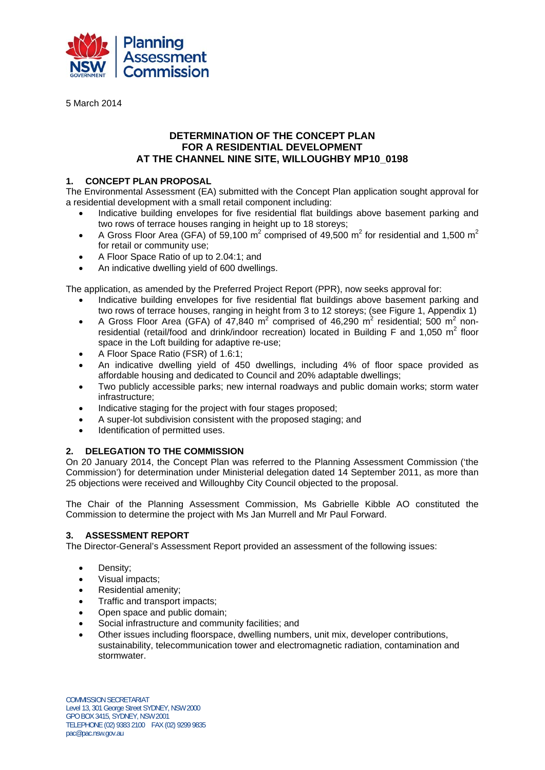

5 March 2014

## **DETERMINATION OF THE CONCEPT PLAN FOR A RESIDENTIAL DEVELOPMENT AT THE CHANNEL NINE SITE, WILLOUGHBY MP10\_0198**

## **1. CONCEPT PLAN PROPOSAL**

The Environmental Assessment (EA) submitted with the Concept Plan application sought approval for a residential development with a small retail component including:

- Indicative building envelopes for five residential flat buildings above basement parking and two rows of terrace houses ranging in height up to 18 storeys;
- A Gross Floor Area (GFA) of 59,100 m<sup>2</sup> comprised of 49,500 m<sup>2</sup> for residential and 1,500 m<sup>2</sup> for retail or community use;
- A Floor Space Ratio of up to 2.04:1; and
- An indicative dwelling yield of 600 dwellings.

The application, as amended by the Preferred Project Report (PPR), now seeks approval for:

- Indicative building envelopes for five residential flat buildings above basement parking and two rows of terrace houses, ranging in height from 3 to 12 storeys; (see Figure 1, Appendix 1)
- A Gross Floor Area (GFA) of 47,840 m<sup>2</sup> comprised of 46,290 m<sup>2</sup> residential; 500 m<sup>2</sup> nonresidential (retail/food and drink/indoor recreation) located in Building F and 1,050  $m^2$  floor space in the Loft building for adaptive re-use;
- A Floor Space Ratio (FSR) of 1.6:1;
- An indicative dwelling yield of 450 dwellings, including 4% of floor space provided as affordable housing and dedicated to Council and 20% adaptable dwellings;
- Two publicly accessible parks; new internal roadways and public domain works; storm water infrastructure;
- Indicative staging for the project with four stages proposed;
- A super-lot subdivision consistent with the proposed staging; and
- Identification of permitted uses.

## **2. DELEGATION TO THE COMMISSION**

On 20 January 2014, the Concept Plan was referred to the Planning Assessment Commission ('the Commission') for determination under Ministerial delegation dated 14 September 2011, as more than 25 objections were received and Willoughby City Council objected to the proposal.

The Chair of the Planning Assessment Commission, Ms Gabrielle Kibble AO constituted the Commission to determine the project with Ms Jan Murrell and Mr Paul Forward.

## **3. ASSESSMENT REPORT**

The Director-General's Assessment Report provided an assessment of the following issues:

- Density:
- Visual impacts;
- Residential amenity;
- Traffic and transport impacts;
- Open space and public domain;
- Social infrastructure and community facilities; and
- Other issues including floorspace, dwelling numbers, unit mix, developer contributions, sustainability, telecommunication tower and electromagnetic radiation, contamination and stormwater.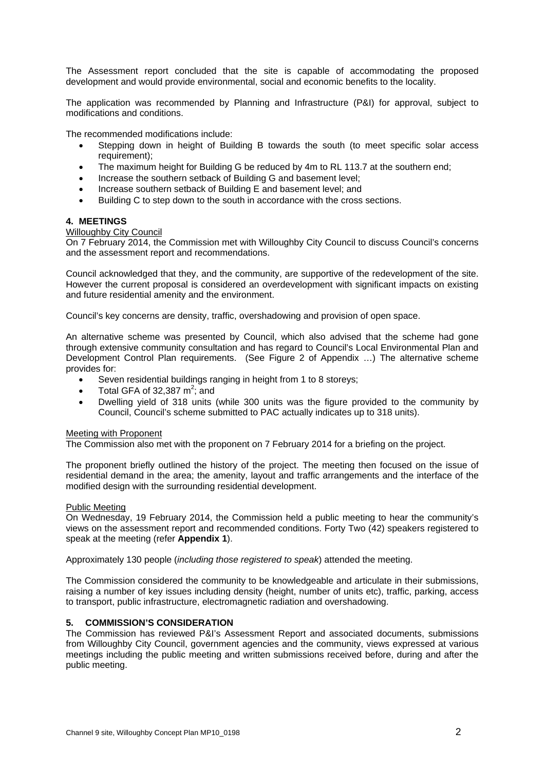The Assessment report concluded that the site is capable of accommodating the proposed development and would provide environmental, social and economic benefits to the locality.

The application was recommended by Planning and Infrastructure (P&I) for approval, subject to modifications and conditions.

The recommended modifications include:

- Stepping down in height of Building B towards the south (to meet specific solar access requirement);
- The maximum height for Building G be reduced by 4m to RL 113.7 at the southern end;
- Increase the southern setback of Building G and basement level;
- Increase southern setback of Building E and basement level; and
- Building C to step down to the south in accordance with the cross sections.

#### **4. MEETINGS**

#### Willoughby City Council

On 7 February 2014, the Commission met with Willoughby City Council to discuss Council's concerns and the assessment report and recommendations.

Council acknowledged that they, and the community, are supportive of the redevelopment of the site. However the current proposal is considered an overdevelopment with significant impacts on existing and future residential amenity and the environment.

Council's key concerns are density, traffic, overshadowing and provision of open space.

An alternative scheme was presented by Council, which also advised that the scheme had gone through extensive community consultation and has regard to Council's Local Environmental Plan and Development Control Plan requirements. (See Figure 2 of Appendix …) The alternative scheme provides for:

- Seven residential buildings ranging in height from 1 to 8 storeys:
- Total GFA of 32,387  $m^2$ ; and
- Dwelling yield of 318 units (while 300 units was the figure provided to the community by Council, Council's scheme submitted to PAC actually indicates up to 318 units).

#### Meeting with Proponent

The Commission also met with the proponent on 7 February 2014 for a briefing on the project.

The proponent briefly outlined the history of the project. The meeting then focused on the issue of residential demand in the area; the amenity, layout and traffic arrangements and the interface of the modified design with the surrounding residential development.

#### Public Meeting

On Wednesday, 19 February 2014, the Commission held a public meeting to hear the community's views on the assessment report and recommended conditions. Forty Two (42) speakers registered to speak at the meeting (refer **Appendix 1**).

Approximately 130 people (*including those registered to speak*) attended the meeting.

The Commission considered the community to be knowledgeable and articulate in their submissions, raising a number of key issues including density (height, number of units etc), traffic, parking, access to transport, public infrastructure, electromagnetic radiation and overshadowing.

#### **5. COMMISSION'S CONSIDERATION**

The Commission has reviewed P&I's Assessment Report and associated documents, submissions from Willoughby City Council, government agencies and the community, views expressed at various meetings including the public meeting and written submissions received before, during and after the public meeting.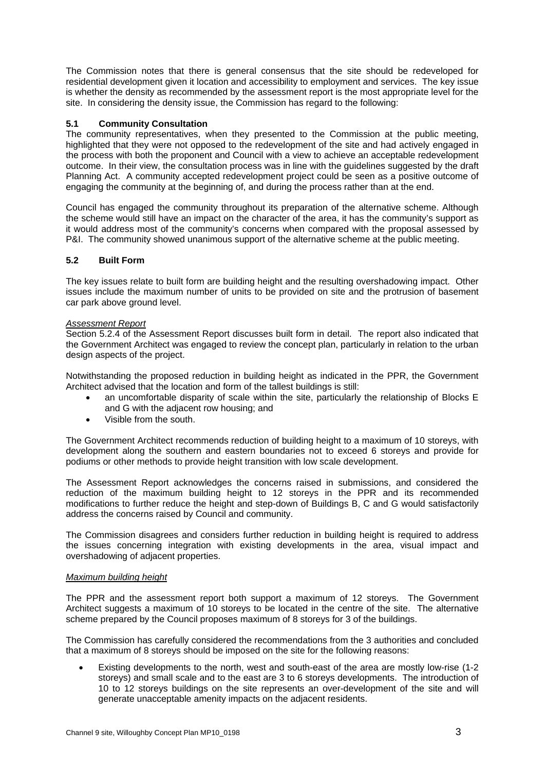The Commission notes that there is general consensus that the site should be redeveloped for residential development given it location and accessibility to employment and services. The key issue is whether the density as recommended by the assessment report is the most appropriate level for the site. In considering the density issue, the Commission has regard to the following:

## **5.1 Community Consultation**

The community representatives, when they presented to the Commission at the public meeting, highlighted that they were not opposed to the redevelopment of the site and had actively engaged in the process with both the proponent and Council with a view to achieve an acceptable redevelopment outcome. In their view, the consultation process was in line with the guidelines suggested by the draft Planning Act. A community accepted redevelopment project could be seen as a positive outcome of engaging the community at the beginning of, and during the process rather than at the end.

Council has engaged the community throughout its preparation of the alternative scheme. Although the scheme would still have an impact on the character of the area, it has the community's support as it would address most of the community's concerns when compared with the proposal assessed by P&I. The community showed unanimous support of the alternative scheme at the public meeting.

## **5.2 Built Form**

The key issues relate to built form are building height and the resulting overshadowing impact. Other issues include the maximum number of units to be provided on site and the protrusion of basement car park above ground level.

## *Assessment Report*

Section 5.2.4 of the Assessment Report discusses built form in detail. The report also indicated that the Government Architect was engaged to review the concept plan, particularly in relation to the urban design aspects of the project.

Notwithstanding the proposed reduction in building height as indicated in the PPR, the Government Architect advised that the location and form of the tallest buildings is still:

- an uncomfortable disparity of scale within the site, particularly the relationship of Blocks E and G with the adjacent row housing; and
- Visible from the south.

The Government Architect recommends reduction of building height to a maximum of 10 storeys, with development along the southern and eastern boundaries not to exceed 6 storeys and provide for podiums or other methods to provide height transition with low scale development.

The Assessment Report acknowledges the concerns raised in submissions, and considered the reduction of the maximum building height to 12 storeys in the PPR and its recommended modifications to further reduce the height and step-down of Buildings B, C and G would satisfactorily address the concerns raised by Council and community.

The Commission disagrees and considers further reduction in building height is required to address the issues concerning integration with existing developments in the area, visual impact and overshadowing of adjacent properties.

#### *Maximum building height*

The PPR and the assessment report both support a maximum of 12 storeys. The Government Architect suggests a maximum of 10 storeys to be located in the centre of the site. The alternative scheme prepared by the Council proposes maximum of 8 storeys for 3 of the buildings.

The Commission has carefully considered the recommendations from the 3 authorities and concluded that a maximum of 8 storeys should be imposed on the site for the following reasons:

 Existing developments to the north, west and south-east of the area are mostly low-rise (1-2 storeys) and small scale and to the east are 3 to 6 storeys developments. The introduction of 10 to 12 storeys buildings on the site represents an over-development of the site and will generate unacceptable amenity impacts on the adjacent residents.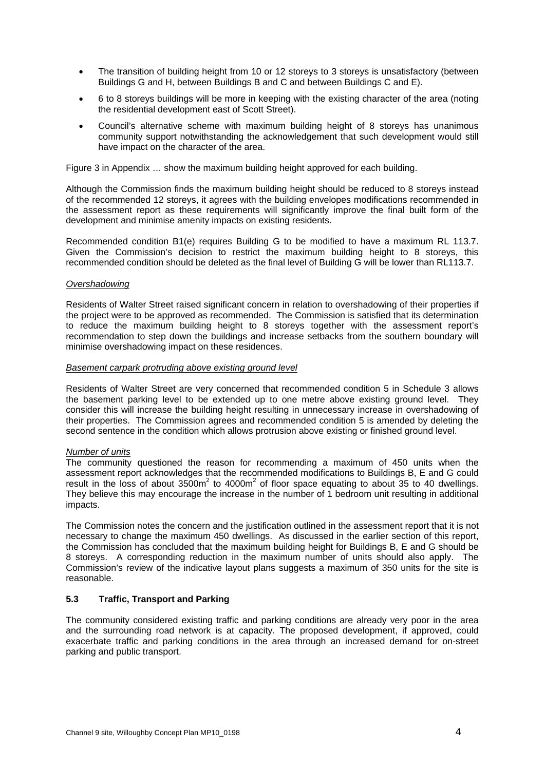- The transition of building height from 10 or 12 storeys to 3 storeys is unsatisfactory (between Buildings G and H, between Buildings B and C and between Buildings C and E).
- 6 to 8 storeys buildings will be more in keeping with the existing character of the area (noting the residential development east of Scott Street).
- Council's alternative scheme with maximum building height of 8 storeys has unanimous community support notwithstanding the acknowledgement that such development would still have impact on the character of the area.

Figure 3 in Appendix … show the maximum building height approved for each building.

Although the Commission finds the maximum building height should be reduced to 8 storeys instead of the recommended 12 storeys, it agrees with the building envelopes modifications recommended in the assessment report as these requirements will significantly improve the final built form of the development and minimise amenity impacts on existing residents.

Recommended condition B1(e) requires Building G to be modified to have a maximum RL 113.7. Given the Commission's decision to restrict the maximum building height to 8 storeys, this recommended condition should be deleted as the final level of Building G will be lower than RL113.7.

#### *Overshadowing*

Residents of Walter Street raised significant concern in relation to overshadowing of their properties if the project were to be approved as recommended. The Commission is satisfied that its determination to reduce the maximum building height to 8 storeys together with the assessment report's recommendation to step down the buildings and increase setbacks from the southern boundary will minimise overshadowing impact on these residences.

#### *Basement carpark protruding above existing ground level*

Residents of Walter Street are very concerned that recommended condition 5 in Schedule 3 allows the basement parking level to be extended up to one metre above existing ground level. They consider this will increase the building height resulting in unnecessary increase in overshadowing of their properties. The Commission agrees and recommended condition 5 is amended by deleting the second sentence in the condition which allows protrusion above existing or finished ground level.

#### *Number of units*

The community questioned the reason for recommending a maximum of 450 units when the assessment report acknowledges that the recommended modifications to Buildings B, E and G could result in the loss of about  $3500m^2$  to  $4000m^2$  of floor space equating to about 35 to 40 dwellings. They believe this may encourage the increase in the number of 1 bedroom unit resulting in additional impacts.

The Commission notes the concern and the justification outlined in the assessment report that it is not necessary to change the maximum 450 dwellings. As discussed in the earlier section of this report, the Commission has concluded that the maximum building height for Buildings B, E and G should be 8 storeys. A corresponding reduction in the maximum number of units should also apply. The Commission's review of the indicative layout plans suggests a maximum of 350 units for the site is reasonable.

### **5.3 Traffic, Transport and Parking**

The community considered existing traffic and parking conditions are already very poor in the area and the surrounding road network is at capacity. The proposed development, if approved, could exacerbate traffic and parking conditions in the area through an increased demand for on-street parking and public transport.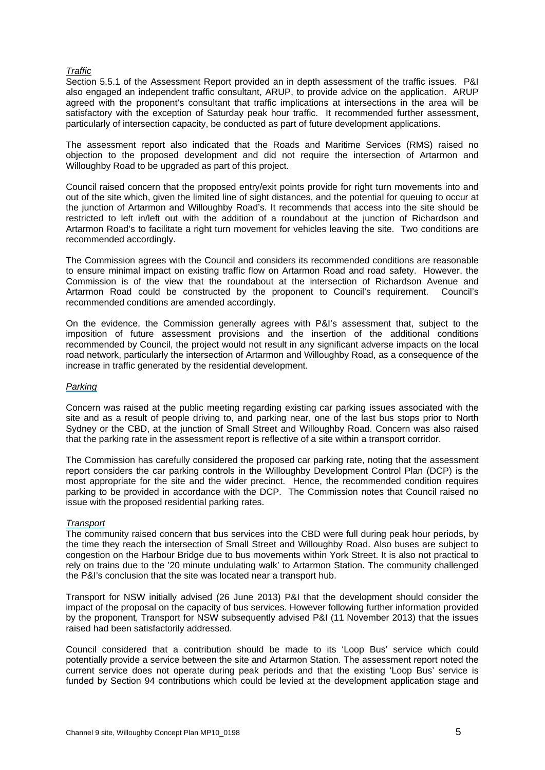#### *Traffic*

Section 5.5.1 of the Assessment Report provided an in depth assessment of the traffic issues. P&I also engaged an independent traffic consultant, ARUP, to provide advice on the application. ARUP agreed with the proponent's consultant that traffic implications at intersections in the area will be satisfactory with the exception of Saturday peak hour traffic. It recommended further assessment, particularly of intersection capacity, be conducted as part of future development applications.

The assessment report also indicated that the Roads and Maritime Services (RMS) raised no objection to the proposed development and did not require the intersection of Artarmon and Willoughby Road to be upgraded as part of this project.

Council raised concern that the proposed entry/exit points provide for right turn movements into and out of the site which, given the limited line of sight distances, and the potential for queuing to occur at the junction of Artarmon and Willoughby Road's. It recommends that access into the site should be restricted to left in/left out with the addition of a roundabout at the junction of Richardson and Artarmon Road's to facilitate a right turn movement for vehicles leaving the site. Two conditions are recommended accordingly.

The Commission agrees with the Council and considers its recommended conditions are reasonable to ensure minimal impact on existing traffic flow on Artarmon Road and road safety. However, the Commission is of the view that the roundabout at the intersection of Richardson Avenue and Artarmon Road could be constructed by the proponent to Council's requirement. Council's recommended conditions are amended accordingly.

On the evidence, the Commission generally agrees with P&I's assessment that, subject to the imposition of future assessment provisions and the insertion of the additional conditions recommended by Council, the project would not result in any significant adverse impacts on the local road network, particularly the intersection of Artarmon and Willoughby Road, as a consequence of the increase in traffic generated by the residential development.

#### *Parking*

Concern was raised at the public meeting regarding existing car parking issues associated with the site and as a result of people driving to, and parking near, one of the last bus stops prior to North Sydney or the CBD, at the junction of Small Street and Willoughby Road. Concern was also raised that the parking rate in the assessment report is reflective of a site within a transport corridor.

The Commission has carefully considered the proposed car parking rate, noting that the assessment report considers the car parking controls in the Willoughby Development Control Plan (DCP) is the most appropriate for the site and the wider precinct. Hence, the recommended condition requires parking to be provided in accordance with the DCP. The Commission notes that Council raised no issue with the proposed residential parking rates.

#### *Transport*

The community raised concern that bus services into the CBD were full during peak hour periods, by the time they reach the intersection of Small Street and Willoughby Road. Also buses are subject to congestion on the Harbour Bridge due to bus movements within York Street. It is also not practical to rely on trains due to the '20 minute undulating walk' to Artarmon Station. The community challenged the P&I's conclusion that the site was located near a transport hub.

Transport for NSW initially advised (26 June 2013) P&I that the development should consider the impact of the proposal on the capacity of bus services. However following further information provided by the proponent, Transport for NSW subsequently advised P&I (11 November 2013) that the issues raised had been satisfactorily addressed.

Council considered that a contribution should be made to its 'Loop Bus' service which could potentially provide a service between the site and Artarmon Station. The assessment report noted the current service does not operate during peak periods and that the existing 'Loop Bus' service is funded by Section 94 contributions which could be levied at the development application stage and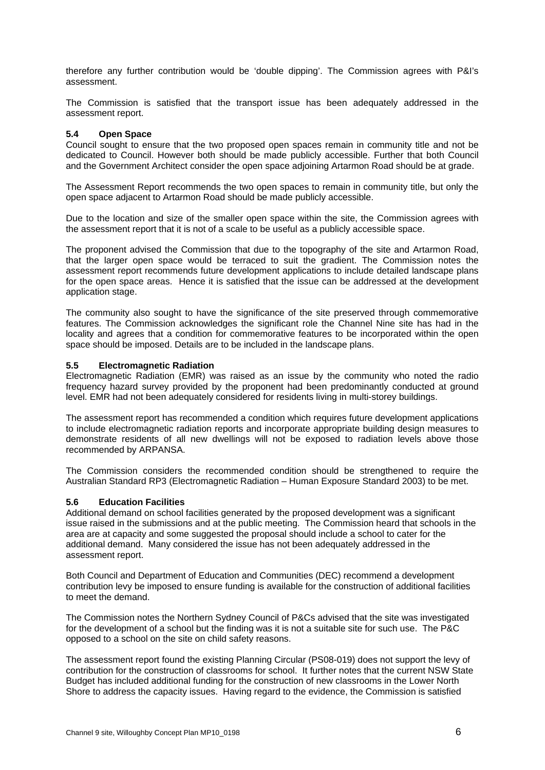therefore any further contribution would be 'double dipping'. The Commission agrees with P&I's assessment.

The Commission is satisfied that the transport issue has been adequately addressed in the assessment report.

#### **5.4 Open Space**

Council sought to ensure that the two proposed open spaces remain in community title and not be dedicated to Council. However both should be made publicly accessible. Further that both Council and the Government Architect consider the open space adjoining Artarmon Road should be at grade.

The Assessment Report recommends the two open spaces to remain in community title, but only the open space adjacent to Artarmon Road should be made publicly accessible.

Due to the location and size of the smaller open space within the site, the Commission agrees with the assessment report that it is not of a scale to be useful as a publicly accessible space.

The proponent advised the Commission that due to the topography of the site and Artarmon Road, that the larger open space would be terraced to suit the gradient. The Commission notes the assessment report recommends future development applications to include detailed landscape plans for the open space areas. Hence it is satisfied that the issue can be addressed at the development application stage.

The community also sought to have the significance of the site preserved through commemorative features. The Commission acknowledges the significant role the Channel Nine site has had in the locality and agrees that a condition for commemorative features to be incorporated within the open space should be imposed. Details are to be included in the landscape plans.

#### **5.5 Electromagnetic Radiation**

Electromagnetic Radiation (EMR) was raised as an issue by the community who noted the radio frequency hazard survey provided by the proponent had been predominantly conducted at ground level. EMR had not been adequately considered for residents living in multi-storey buildings.

The assessment report has recommended a condition which requires future development applications to include electromagnetic radiation reports and incorporate appropriate building design measures to demonstrate residents of all new dwellings will not be exposed to radiation levels above those recommended by ARPANSA.

The Commission considers the recommended condition should be strengthened to require the Australian Standard RP3 (Electromagnetic Radiation – Human Exposure Standard 2003) to be met.

#### **5.6 Education Facilities**

Additional demand on school facilities generated by the proposed development was a significant issue raised in the submissions and at the public meeting. The Commission heard that schools in the area are at capacity and some suggested the proposal should include a school to cater for the additional demand. Many considered the issue has not been adequately addressed in the assessment report.

Both Council and Department of Education and Communities (DEC) recommend a development contribution levy be imposed to ensure funding is available for the construction of additional facilities to meet the demand.

The Commission notes the Northern Sydney Council of P&Cs advised that the site was investigated for the development of a school but the finding was it is not a suitable site for such use. The P&C opposed to a school on the site on child safety reasons.

The assessment report found the existing Planning Circular (PS08-019) does not support the levy of contribution for the construction of classrooms for school. It further notes that the current NSW State Budget has included additional funding for the construction of new classrooms in the Lower North Shore to address the capacity issues. Having regard to the evidence, the Commission is satisfied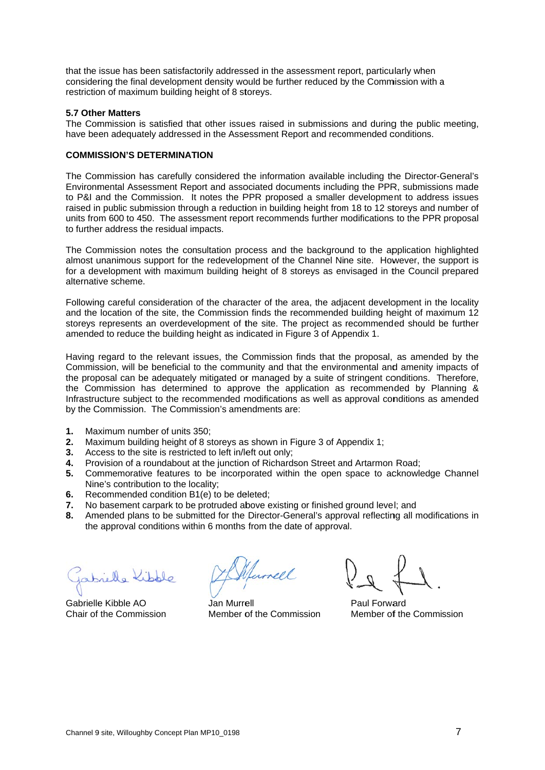that the issue has been satisfactorily addressed in the assessment report, particularly when considering the final development density would be further reduced by the Commission with a restriction of maximum building height of 8 storeys.

#### **5.7 Other Matters**

The Commission is satisfied that other issues raised in submissions and during the public meeting, have been adequately addressed in the Assessment Report and recommended conditions.

#### **COMMIS SSION'S DE ETERMINAT ION**

The Commission has carefully considered the information available including the Director-General's Environmental Assessment Report and associated documents including the PPR, submissions made to P&I and the Commission. It notes the PPR proposed a smaller development to address issues raised in public submission through a reduction in building height from 18 to 12 storeys and number of units from 600 to 450. The assessment report recommends further modifications to the PPR proposal to further address the residual impacts.

The Commission notes the consultation process and the background to the application highlighted almost unanimous support for the redevelopment of the Channel Nine site. However, the support is for a development with maximum building height of 8 storeys as envisaged in the Council prepared alternati ve scheme.

Following careful consideration of the character of the area, the adjacent development in the locality and the location of the site, the Commission finds the recommended building height of maximum 12 storeys represents an overdevelopment of the site. The project as recommended should be further amended to reduce the building height as indicated in Figure 3 of Appendix 1.

Having regard to the relevant issues, the Commission finds that the proposal, as amended by the Commission, will be beneficial to the community and that the environmental and amenity impacts of the proposal can be adequately mitigated or managed by a suite of stringent conditions. Therefore, the Commission has determined to approve the application as recommended by Planning & Infrastructure subject to the recommended modifications as well as approval conditions as amended by the Commission. The Commission's amendments are:

- **1.** Maximum number of units 350;
- **2.** Maximum building height of 8 storeys as shown in Figure 3 of Appendix 1;
- **3.** Access to the site is restricted to left in/left out only;
- **4.** Pro ovision of a roundabout at the junction of Richardson Street and Artarmon Road;
- **5.** Commemorative features to be incorporated within the open space to acknowledge Channel Nine's contribution to the locality;
- **6.** Recommended condition B1(e) to be deleted;
- **7.** No basement carpark to be protruded above existing or finished ground level; and
- 8. Amended plans to be submitted for the Director-General's approval reflecting all modifications in the approval conditions within 6 months from the date of approval.

Gabrielle Kibble AO Chair of the Commission

unell

Jan Murrell Member of the Commission

Paul Forwa ard Member of the Commission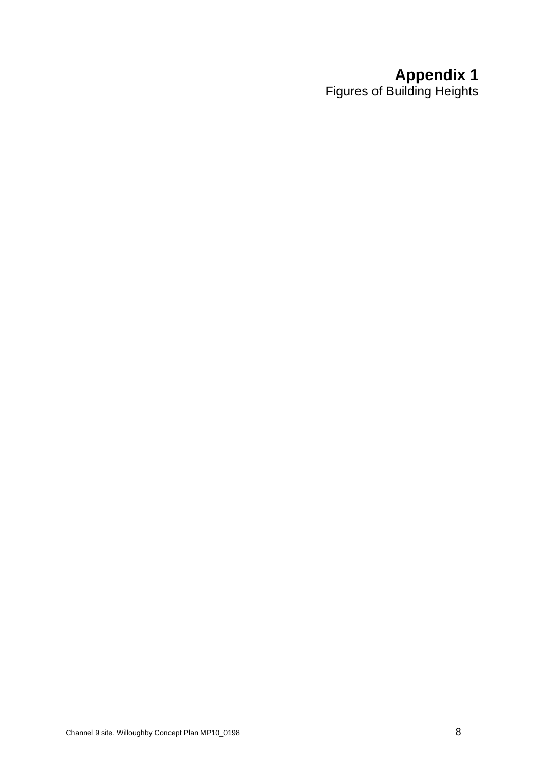## **Appendix 1**

Figures of Building Heights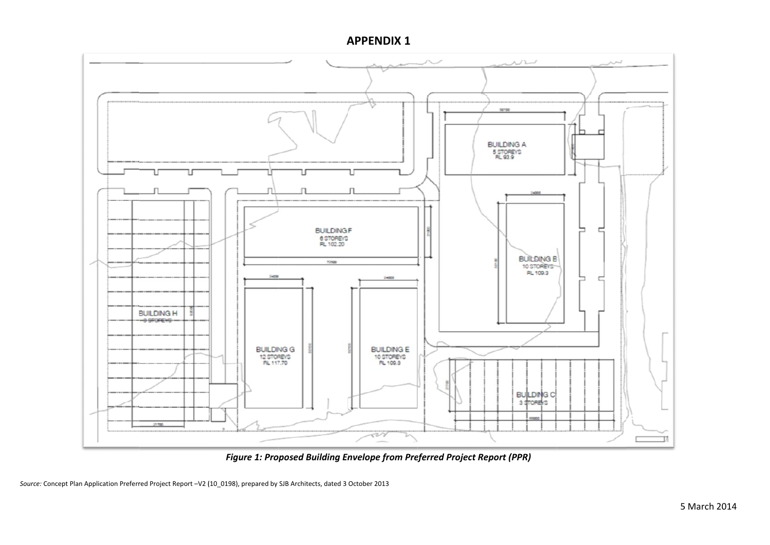**AAPPENDIX 1**



*Figure 1: Pro oposed Building En nvelope from Pre eferred Project Report (PPR)*

Source: Concept Plan Application Preferred Project Report -V2 (10 0198), prepared by SJB Architects, dated 3 October 2013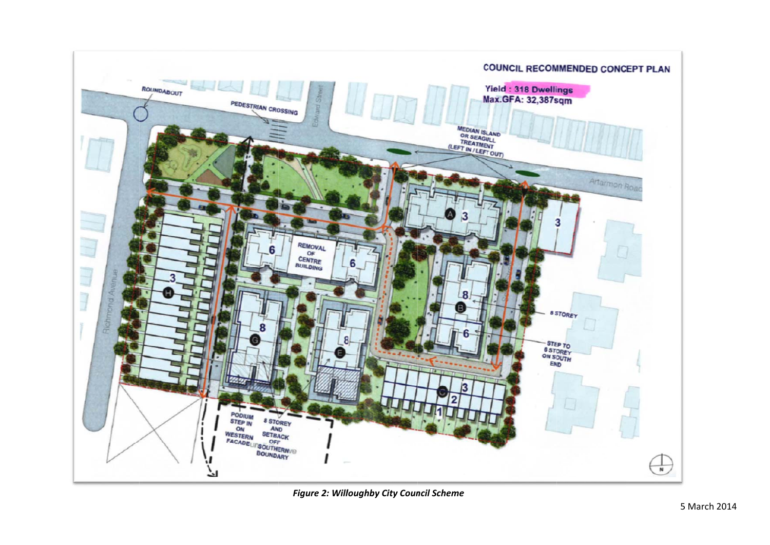

*Figure 2: Willoughby City Council Scheme*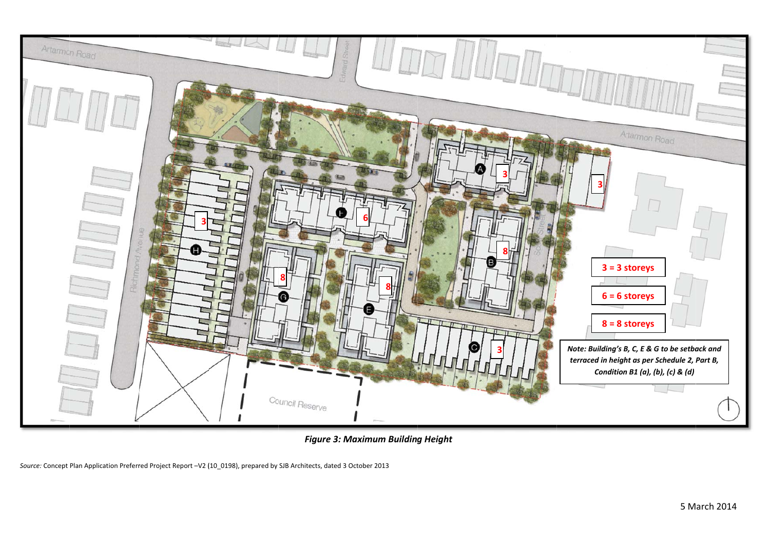

*Figure 3: M Maximum Building g Height*

Source: Concept Plan Application Preferred Project Report -V2 (10 0198), prepared by SJB Architects, dated 3 October 2013